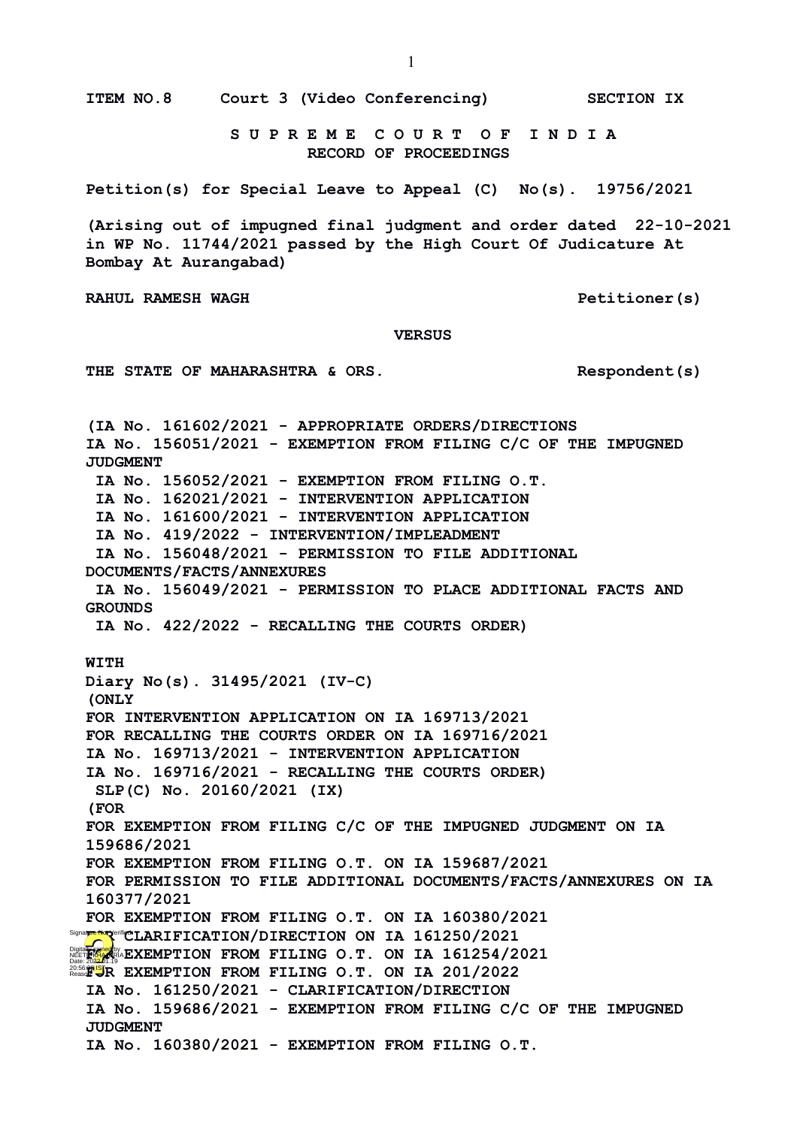**ITEM NO.8 Court 3 (Video Conferencing) SECTION IX**

 **S U P R E M E C O U R T O F I N D I A RECORD OF PROCEEDINGS**

**Petition(s) for Special Leave to Appeal (C) No(s). 19756/2021**

**(Arising out of impugned final judgment and order dated 22-10-2021 in WP No. 11744/2021 passed by the High Court Of Judicature At Bombay At Aurangabad)**

**RAHUL RAMESH WAGH PETITION PETITION PETITION CONTRAHUL RAMESH WAGH** 

 **VERSUS**

**THE STATE OF MAHARASHTRA & ORS. Respondent(s)**

**(IA No. 161602/2021 - APPROPRIATE ORDERS/DIRECTIONS IA No. 156051/2021 - EXEMPTION FROM FILING C/C OF THE IMPUGNED JUDGMENT IA No. 156052/2021 - EXEMPTION FROM FILING O.T. IA No. 162021/2021 - INTERVENTION APPLICATION IA No. 161600/2021 - INTERVENTION APPLICATION IA No. 419/2022 - INTERVENTION/IMPLEADMENT IA No. 156048/2021 - PERMISSION TO FILE ADDITIONAL DOCUMENTS/FACTS/ANNEXURES IA No. 156049/2021 - PERMISSION TO PLACE ADDITIONAL FACTS AND GROUNDS IA No. 422/2022 - RECALLING THE COURTS ORDER) WITH Diary No(s). 31495/2021 (IV-C) (ONLY FOR INTERVENTION APPLICATION ON IA 169713/2021 FOR RECALLING THE COURTS ORDER ON IA 169716/2021 IA No. 169713/2021 - INTERVENTION APPLICATION IA No. 169716/2021 - RECALLING THE COURTS ORDER) SLP(C) No. 20160/2021 (IX) (FOR FOR EXEMPTION FROM FILING C/C OF THE IMPUGNED JUDGMENT ON IA 159686/2021 FOR EXEMPTION FROM FILING O.T. ON IA 159687/2021 FOR PERMISSION TO FILE ADDITIONAL DOCUMENTS/FACTS/ANNEXURES ON IA 160377/2021 FOR EXEMPTION FROM FILING O.T. ON IA 160380/2021**  Signa**ture Not** Verifi**ed LARIFICATION/DIRECTION ON IA 161250/2021** Digital **Figures 2023.**<br>NEET**RIA ARRIAN EXEMPTION FROM FILING O.T. ON IA 161254/2021 FOR EXEMPTION FROM FILING O.T. ON IA 201/2022 IA No. 161250/2021 - CLARIFICATION/DIRECTION IA No. 159686/2021 - EXEMPTION FROM FILING C/C OF THE IMPUGNED JUDGMENT IA No. 160380/2021 - EXEMPTION FROM FILING O.T.**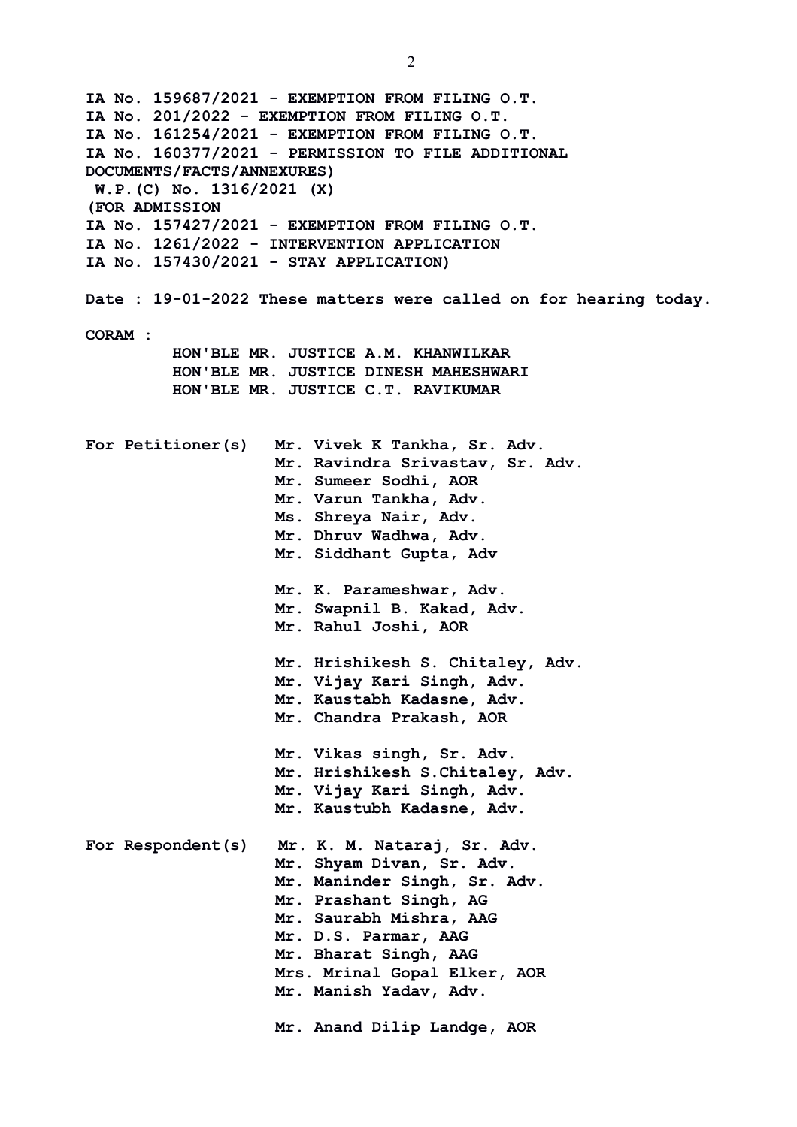**IA No. 159687/2021 - EXEMPTION FROM FILING O.T. IA No. 201/2022 - EXEMPTION FROM FILING O.T. IA No. 161254/2021 - EXEMPTION FROM FILING O.T. IA No. 160377/2021 - PERMISSION TO FILE ADDITIONAL DOCUMENTS/FACTS/ANNEXURES) W.P.(C) No. 1316/2021 (X) (FOR ADMISSION IA No. 157427/2021 - EXEMPTION FROM FILING O.T. IA No. 1261/2022 - INTERVENTION APPLICATION IA No. 157430/2021 - STAY APPLICATION) Date : 19-01-2022 These matters were called on for hearing today. CORAM : HON'BLE MR. JUSTICE A.M. KHANWILKAR HON'BLE MR. JUSTICE DINESH MAHESHWARI HON'BLE MR. JUSTICE C.T. RAVIKUMAR For Petitioner(s) Mr. Vivek K Tankha, Sr. Adv. Mr. Ravindra Srivastav, Sr. Adv. Mr. Sumeer Sodhi, AOR Mr. Varun Tankha, Adv. Ms. Shreya Nair, Adv. Mr. Dhruv Wadhwa, Adv. Mr. Siddhant Gupta, Adv Mr. K. Parameshwar, Adv. Mr. Swapnil B. Kakad, Adv. Mr. Rahul Joshi, AOR Mr. Hrishikesh S. Chitaley, Adv. Mr. Vijay Kari Singh, Adv. Mr. Kaustabh Kadasne, Adv. Mr. Chandra Prakash, AOR Mr. Vikas singh, Sr. Adv. Mr. Hrishikesh S.Chitaley, Adv. Mr. Vijay Kari Singh, Adv. Mr. Kaustubh Kadasne, Adv. For Respondent(s) Mr. K. M. Nataraj, Sr. Adv. Mr. Shyam Divan, Sr. Adv. Mr. Maninder Singh, Sr. Adv. Mr. Prashant Singh, AG Mr. Saurabh Mishra, AAG Mr. D.S. Parmar, AAG Mr. Bharat Singh, AAG Mrs. Mrinal Gopal Elker, AOR Mr. Manish Yadav, Adv. Mr. Anand Dilip Landge, AOR**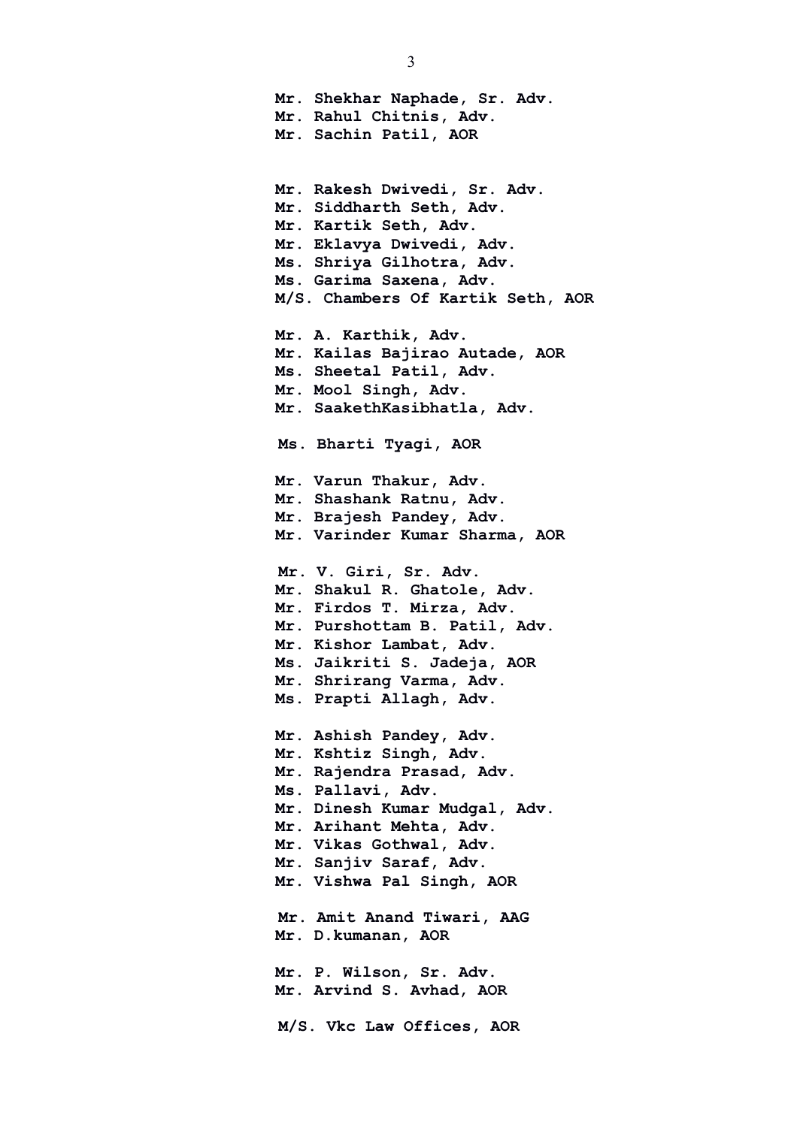3 **Mr. Shekhar Naphade, Sr. Adv. Mr. Rahul Chitnis, Adv. Mr. Sachin Patil, AOR Mr. Rakesh Dwivedi, Sr. Adv. Mr. Siddharth Seth, Adv. Mr. Kartik Seth, Adv. Mr. Eklavya Dwivedi, Adv. Ms. Shriya Gilhotra, Adv. Ms. Garima Saxena, Adv. M/S. Chambers Of Kartik Seth, AOR Mr. A. Karthik, Adv. Mr. Kailas Bajirao Autade, AOR Ms. Sheetal Patil, Adv. Mr. Mool Singh, Adv. Mr. SaakethKasibhatla, Adv. Ms. Bharti Tyagi, AOR Mr. Varun Thakur, Adv. Mr. Shashank Ratnu, Adv. Mr. Brajesh Pandey, Adv. Mr. Varinder Kumar Sharma, AOR Mr. V. Giri, Sr. Adv. Mr. Shakul R. Ghatole, Adv. Mr. Firdos T. Mirza, Adv. Mr. Purshottam B. Patil, Adv. Mr. Kishor Lambat, Adv. Ms. Jaikriti S. Jadeja, AOR Mr. Shrirang Varma, Adv. Ms. Prapti Allagh, Adv. Mr. Ashish Pandey, Adv.**

**Mr. Kshtiz Singh, Adv. Mr. Rajendra Prasad, Adv. Ms. Pallavi, Adv. Mr. Dinesh Kumar Mudgal, Adv. Mr. Arihant Mehta, Adv. Mr. Vikas Gothwal, Adv. Mr. Sanjiv Saraf, Adv. Mr. Vishwa Pal Singh, AOR Mr. Amit Anand Tiwari, AAG Mr. D.kumanan, AOR Mr. P. Wilson, Sr. Adv. Mr. Arvind S. Avhad, AOR M/S. Vkc Law Offices, AOR**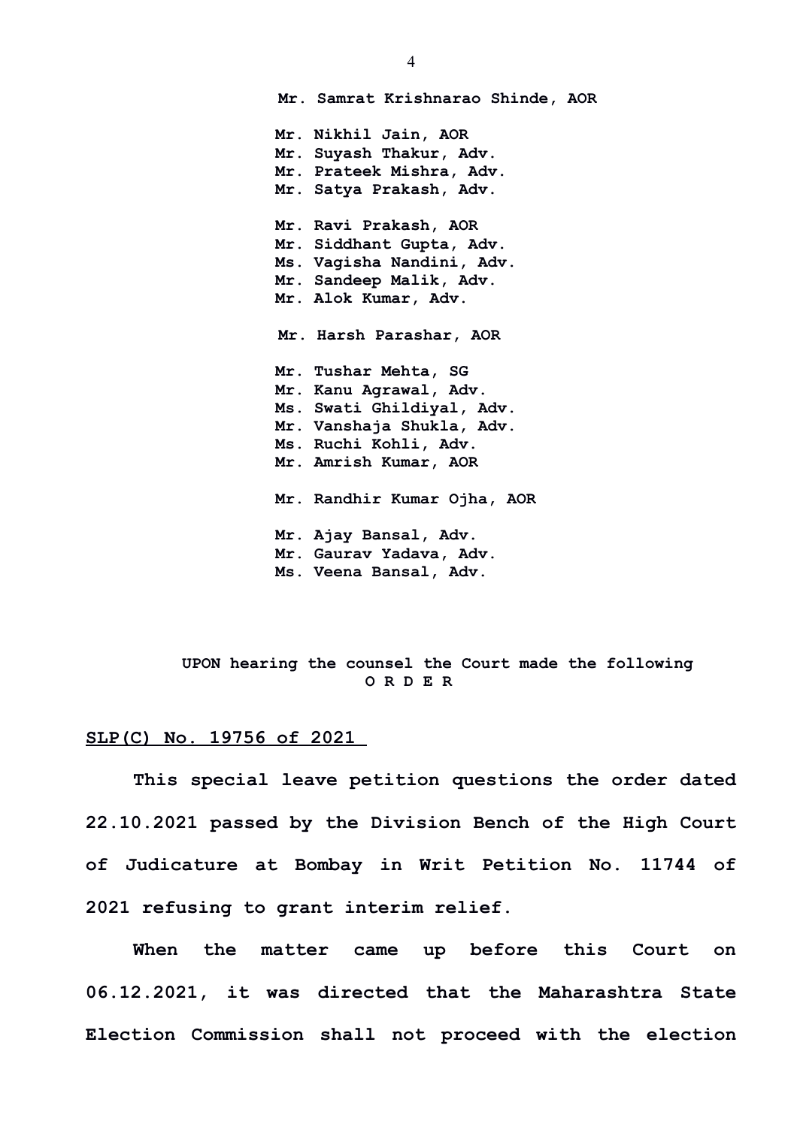**Mr. Samrat Krishnarao Shinde, AOR Mr. Nikhil Jain, AOR Mr. Suyash Thakur, Adv. Mr. Prateek Mishra, Adv. Mr. Satya Prakash, Adv. Mr. Ravi Prakash, AOR Mr. Siddhant Gupta, Adv. Ms. Vagisha Nandini, Adv. Mr. Sandeep Malik, Adv. Mr. Alok Kumar, Adv. Mr. Harsh Parashar, AOR Mr. Tushar Mehta, SG Mr. Kanu Agrawal, Adv. Ms. Swati Ghildiyal, Adv. Mr. Vanshaja Shukla, Adv. Ms. Ruchi Kohli, Adv. Mr. Amrish Kumar, AOR Mr. Randhir Kumar Ojha, AOR Mr. Ajay Bansal, Adv. Mr. Gaurav Yadava, Adv. Ms. Veena Bansal, Adv.**

## **UPON hearing the counsel the Court made the following O R D E R**

## **SLP(C) No. 19756 of 2021**

**This special leave petition questions the order dated 22.10.2021 passed by the Division Bench of the High Court of Judicature at Bombay in Writ Petition No. 11744 of 2021 refusing to grant interim relief.**

**When the matter came up before this Court on 06.12.2021, it was directed that the Maharashtra State Election Commission shall not proceed with the election**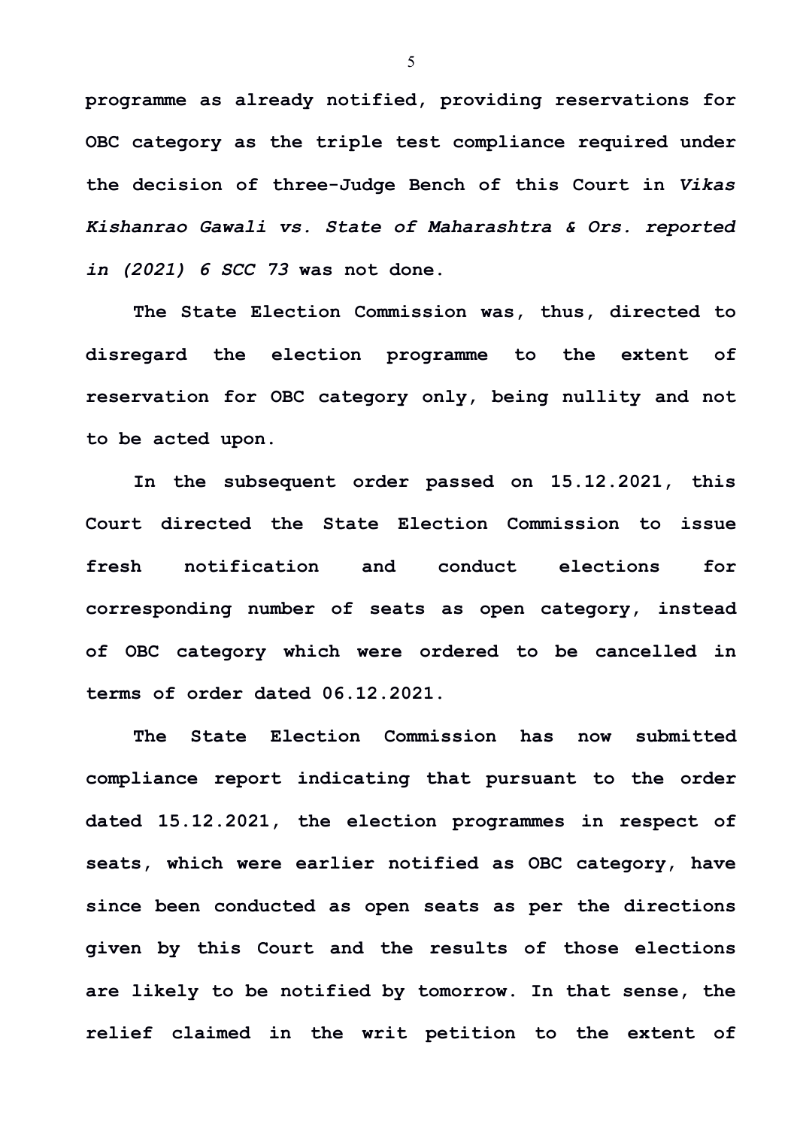**programme as already notified, providing reservations for OBC category as the triple test compliance required under the decision of three-Judge Bench of this Court in** *Vikas Kishanrao Gawali vs. State of Maharashtra & Ors. reported in (2021) 6 SCC 73* **was not done.** 

**The State Election Commission was, thus, directed to disregard the election programme to the extent of reservation for OBC category only, being nullity and not to be acted upon.**

**In the subsequent order passed on 15.12.2021, this Court directed the State Election Commission to issue fresh notification and conduct elections for corresponding number of seats as open category, instead of OBC category which were ordered to be cancelled in terms of order dated 06.12.2021.** 

**The State Election Commission has now submitted compliance report indicating that pursuant to the order dated 15.12.2021, the election programmes in respect of seats, which were earlier notified as OBC category, have since been conducted as open seats as per the directions given by this Court and the results of those elections are likely to be notified by tomorrow. In that sense, the relief claimed in the writ petition to the extent of**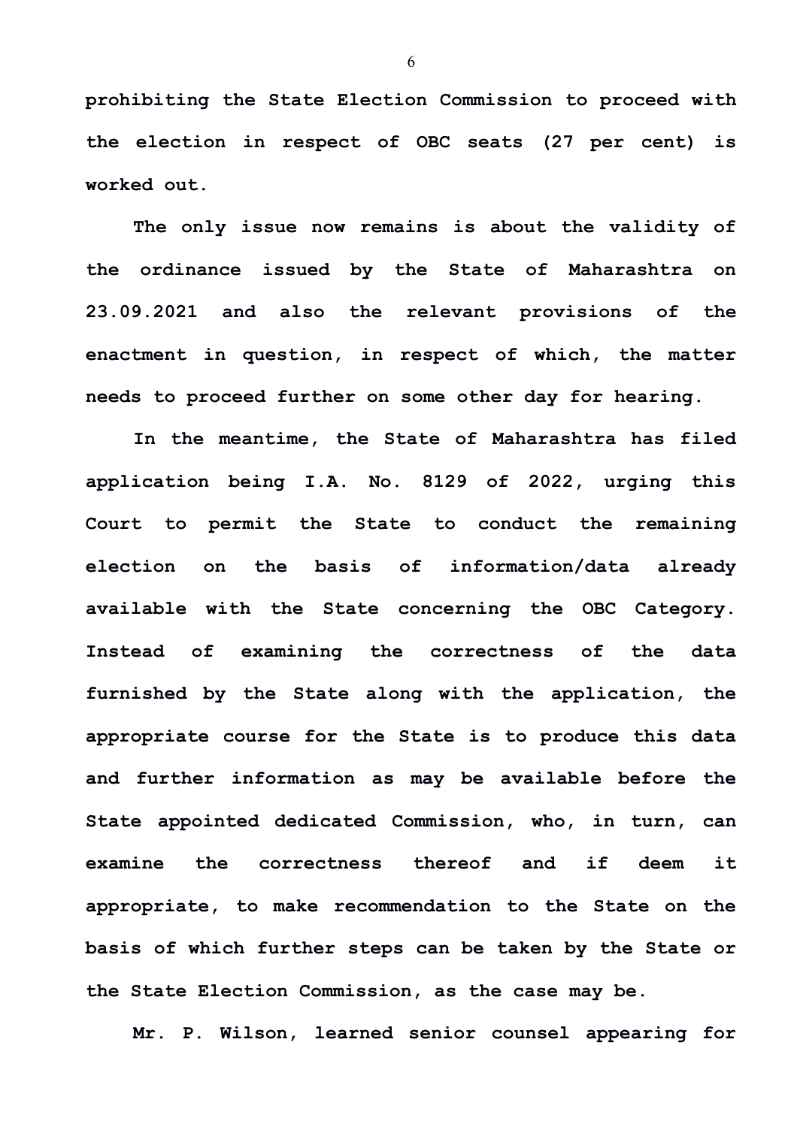**prohibiting the State Election Commission to proceed with the election in respect of OBC seats (27 per cent) is worked out.** 

**The only issue now remains is about the validity of the ordinance issued by the State of Maharashtra on 23.09.2021 and also the relevant provisions of the enactment in question, in respect of which, the matter needs to proceed further on some other day for hearing.**

**In the meantime, the State of Maharashtra has filed application being I.A. No. 8129 of 2022, urging this Court to permit the State to conduct the remaining election on the basis of information/data already available with the State concerning the OBC Category. Instead of examining the correctness of the data furnished by the State along with the application, the appropriate course for the State is to produce this data and further information as may be available before the State appointed dedicated Commission, who, in turn, can examine the correctness thereof and if deem it appropriate, to make recommendation to the State on the basis of which further steps can be taken by the State or the State Election Commission, as the case may be.** 

**Mr. P. Wilson, learned senior counsel appearing for**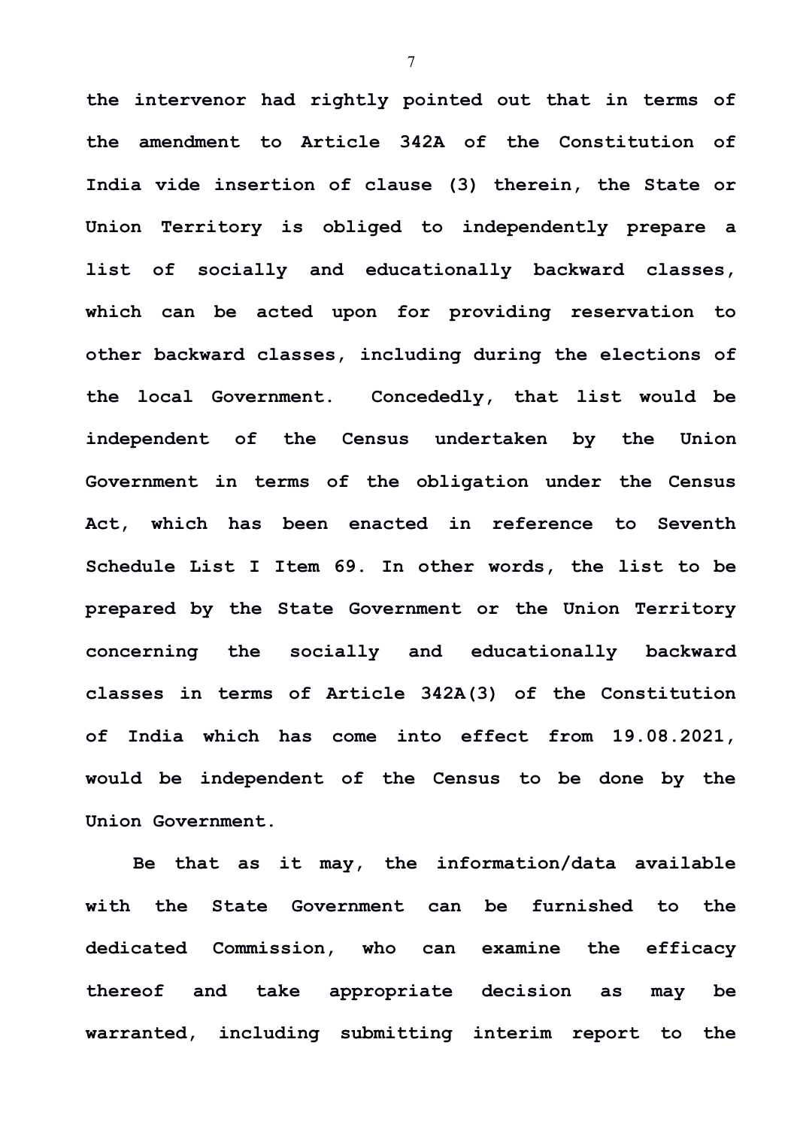**the intervenor had rightly pointed out that in terms of the amendment to Article 342A of the Constitution of India vide insertion of clause (3) therein, the State or Union Territory is obliged to independently prepare a list of socially and educationally backward classes, which can be acted upon for providing reservation to other backward classes, including during the elections of the local Government. Concededly, that list would be independent of the Census undertaken by the Union Government in terms of the obligation under the Census Act, which has been enacted in reference to Seventh Schedule List I Item 69. In other words, the list to be prepared by the State Government or the Union Territory concerning the socially and educationally backward classes in terms of Article 342A(3) of the Constitution of India which has come into effect from 19.08.2021, would be independent of the Census to be done by the Union Government.** 

**Be that as it may, the information/data available with the State Government can be furnished to the dedicated Commission, who can examine the efficacy thereof and take appropriate decision as may be warranted, including submitting interim report to the**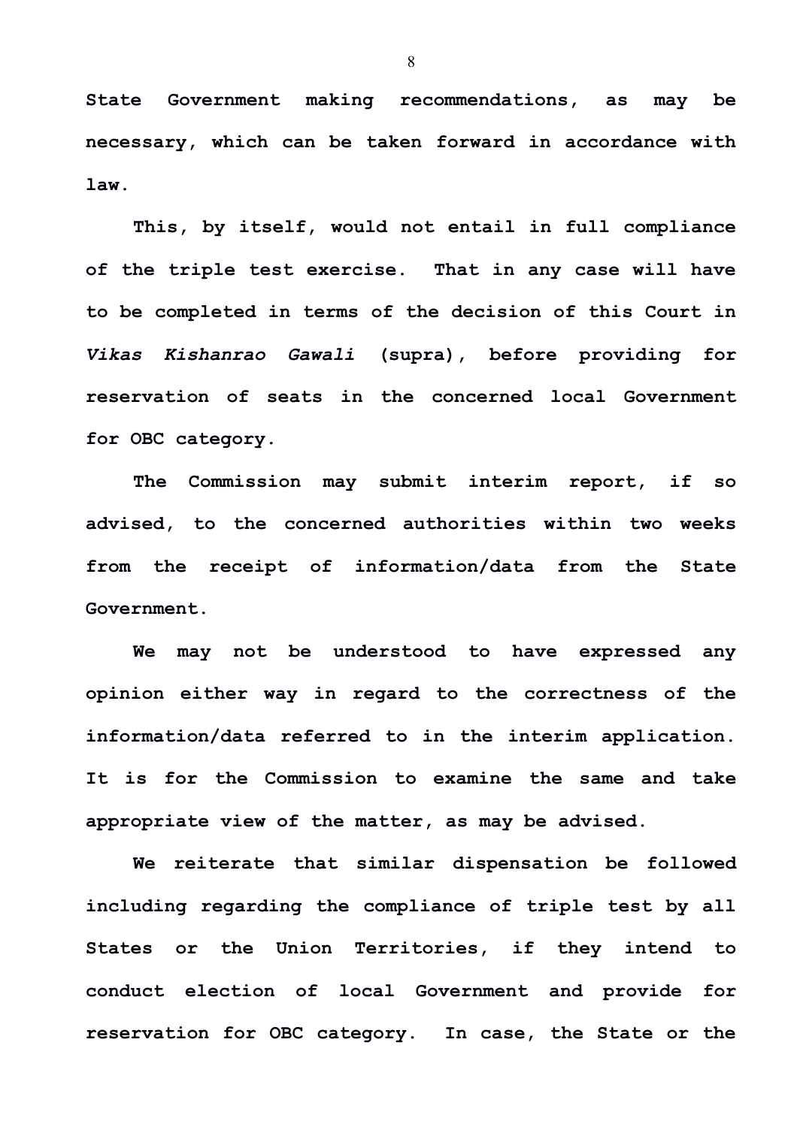**State Government making recommendations, as may be necessary, which can be taken forward in accordance with law.** 

**This, by itself, would not entail in full compliance of the triple test exercise. That in any case will have to be completed in terms of the decision of this Court in** *Vikas Kishanrao Gawali* **(supra), before providing for reservation of seats in the concerned local Government for OBC category.**

**The Commission may submit interim report, if so advised, to the concerned authorities within two weeks from the receipt of information/data from the State Government.** 

**We may not be understood to have expressed any opinion either way in regard to the correctness of the information/data referred to in the interim application. It is for the Commission to examine the same and take appropriate view of the matter, as may be advised.**

**We reiterate that similar dispensation be followed including regarding the compliance of triple test by all States or the Union Territories, if they intend to conduct election of local Government and provide for reservation for OBC category. In case, the State or the**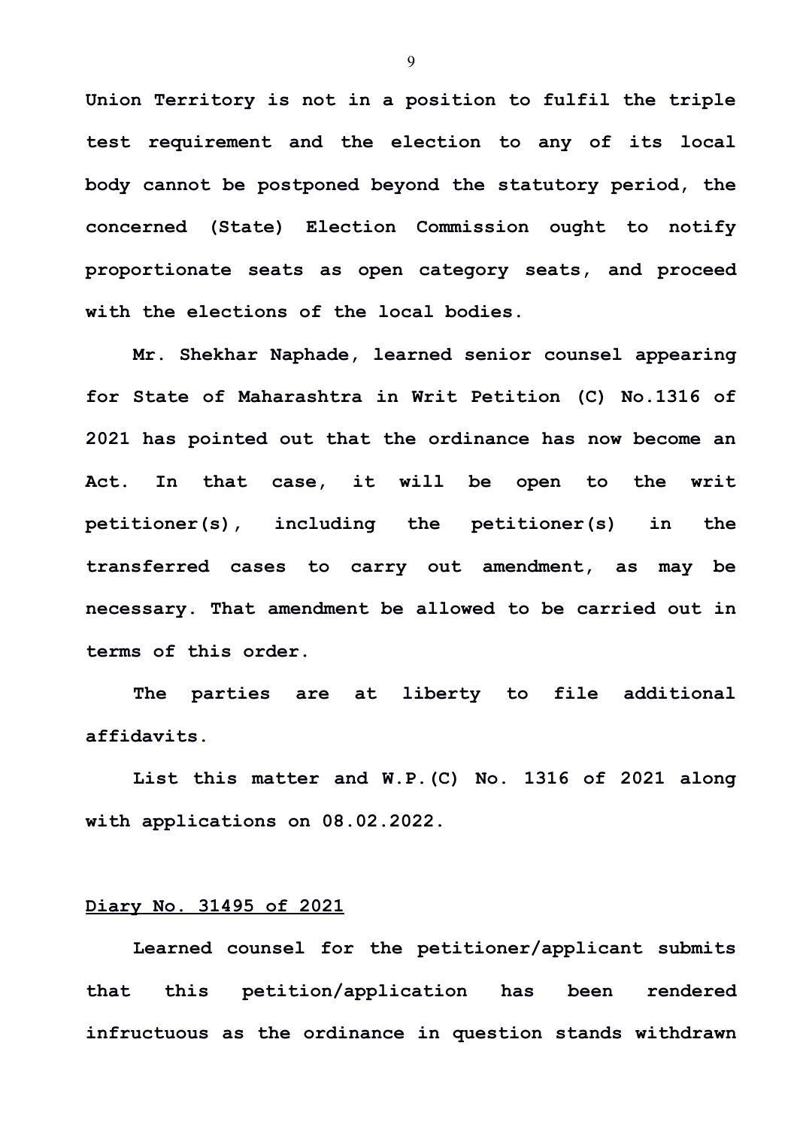**Union Territory is not in a position to fulfil the triple test requirement and the election to any of its local body cannot be postponed beyond the statutory period, the concerned (State) Election Commission ought to notify proportionate seats as open category seats, and proceed with the elections of the local bodies.**

**Mr. Shekhar Naphade, learned senior counsel appearing for State of Maharashtra in Writ Petition (C) No.1316 of 2021 has pointed out that the ordinance has now become an Act. In that case, it will be open to the writ petitioner(s), including the petitioner(s) in the transferred cases to carry out amendment, as may be necessary. That amendment be allowed to be carried out in terms of this order.** 

**The parties are at liberty to file additional affidavits.** 

**List this matter and W.P.(C) No. 1316 of 2021 along with applications on 08.02.2022.** 

## **Diary No. 31495 of 2021**

**Learned counsel for the petitioner/applicant submits that this petition/application has been rendered infructuous as the ordinance in question stands withdrawn**